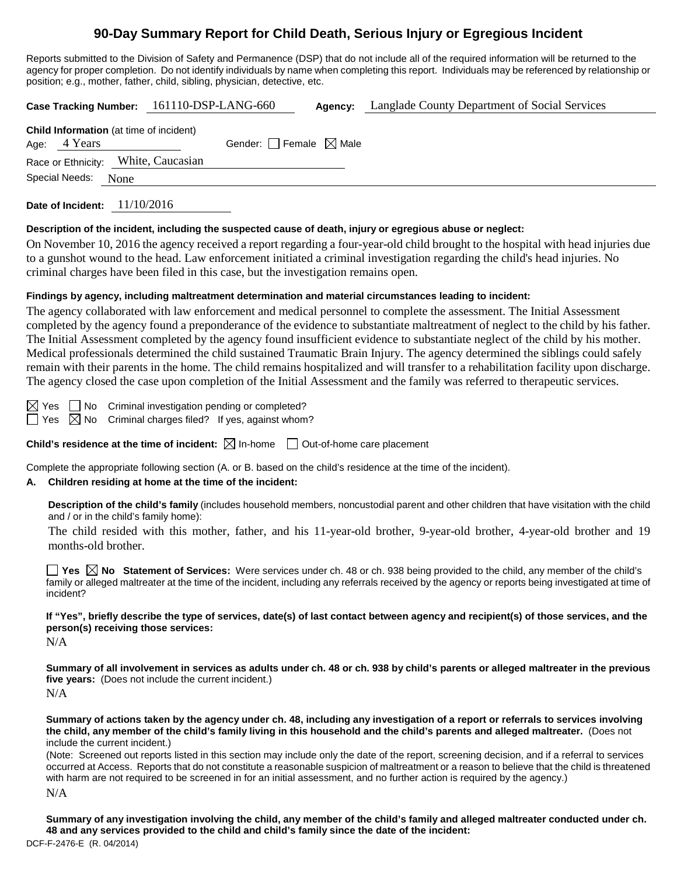# **90-Day Summary Report for Child Death, Serious Injury or Egregious Incident**

Reports submitted to the Division of Safety and Permanence (DSP) that do not include all of the required information will be returned to the agency for proper completion. Do not identify individuals by name when completing this report. Individuals may be referenced by relationship or position; e.g., mother, father, child, sibling, physician, detective, etc.

|                                                                | Case Tracking Number: 161110-DSP-LANG-660 | Agency: | Langlade County Department of Social Services |
|----------------------------------------------------------------|-------------------------------------------|---------|-----------------------------------------------|
| <b>Child Information</b> (at time of incident)<br>Age: 4 Years | Gender: $\Box$ Female $\boxtimes$ Male    |         |                                               |
| Race or Ethnicity: White, Caucasian                            |                                           |         |                                               |
| Special Needs: None                                            |                                           |         |                                               |
| Date of Incident: $11/10/2016$                                 |                                           |         |                                               |

#### **Description of the incident, including the suspected cause of death, injury or egregious abuse or neglect:**

On November 10, 2016 the agency received a report regarding a four-year-old child brought to the hospital with head injuries due to a gunshot wound to the head. Law enforcement initiated a criminal investigation regarding the child's head injuries. No criminal charges have been filed in this case, but the investigation remains open.

## **Findings by agency, including maltreatment determination and material circumstances leading to incident:**

The agency collaborated with law enforcement and medical personnel to complete the assessment. The Initial Assessment completed by the agency found a preponderance of the evidence to substantiate maltreatment of neglect to the child by his father. The Initial Assessment completed by the agency found insufficient evidence to substantiate neglect of the child by his mother. Medical professionals determined the child sustained Traumatic Brain Injury. The agency determined the siblings could safely remain with their parents in the home. The child remains hospitalized and will transfer to a rehabilitation facility upon discharge. The agency closed the case upon completion of the Initial Assessment and the family was referred to therapeutic services.

 $\boxtimes$  Yes  $\Box$  No Criminal investigation pending or completed?

 $\Box$  Yes  $\boxtimes$  No Criminal charges filed? If yes, against whom?

**Child's residence at the time of incident:**  $\boxtimes$  In-home  $\Box$  Out-of-home care placement

Complete the appropriate following section (A. or B. based on the child's residence at the time of the incident).

## **A. Children residing at home at the time of the incident:**

**Description of the child's family** (includes household members, noncustodial parent and other children that have visitation with the child and / or in the child's family home):

The child resided with this mother, father, and his 11-year-old brother, 9-year-old brother, 4-year-old brother and 19 months-old brother.

■ Yes **No** Statement of Services: Were services under ch. 48 or ch. 938 being provided to the child, any member of the child's family or alleged maltreater at the time of the incident, including any referrals received by the agency or reports being investigated at time of incident?

**If "Yes", briefly describe the type of services, date(s) of last contact between agency and recipient(s) of those services, and the person(s) receiving those services:**

 $N/A$ 

**Summary of all involvement in services as adults under ch. 48 or ch. 938 by child's parents or alleged maltreater in the previous five years:** (Does not include the current incident.) N/A

**Summary of actions taken by the agency under ch. 48, including any investigation of a report or referrals to services involving the child, any member of the child's family living in this household and the child's parents and alleged maltreater.** (Does not include the current incident.)

(Note: Screened out reports listed in this section may include only the date of the report, screening decision, and if a referral to services occurred at Access. Reports that do not constitute a reasonable suspicion of maltreatment or a reason to believe that the child is threatened with harm are not required to be screened in for an initial assessment, and no further action is required by the agency.)

N/A

**Summary of any investigation involving the child, any member of the child's family and alleged maltreater conducted under ch. 48 and any services provided to the child and child's family since the date of the incident:**